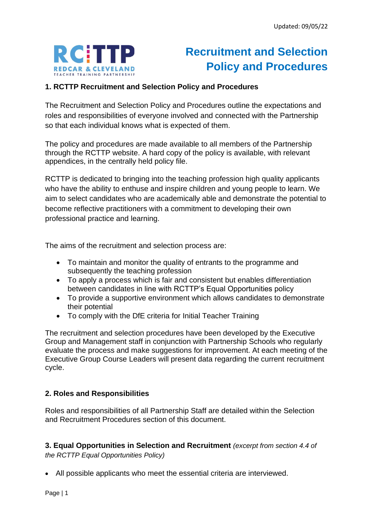

# **Recruitment and Selection Policy and Procedures**

### **1. RCTTP Recruitment and Selection Policy and Procedures**

The Recruitment and Selection Policy and Procedures outline the expectations and roles and responsibilities of everyone involved and connected with the Partnership so that each individual knows what is expected of them.

The policy and procedures are made available to all members of the Partnership through the RCTTP website. A hard copy of the policy is available, with relevant appendices, in the centrally held policy file.

RCTTP is dedicated to bringing into the teaching profession high quality applicants who have the ability to enthuse and inspire children and young people to learn. We aim to select candidates who are academically able and demonstrate the potential to become reflective practitioners with a commitment to developing their own professional practice and learning.

The aims of the recruitment and selection process are:

- To maintain and monitor the quality of entrants to the programme and subsequently the teaching profession
- To apply a process which is fair and consistent but enables differentiation between candidates in line with RCTTP's Equal Opportunities policy
- To provide a supportive environment which allows candidates to demonstrate their potential
- To comply with the DfE criteria for Initial Teacher Training

The recruitment and selection procedures have been developed by the Executive Group and Management staff in conjunction with Partnership Schools who regularly evaluate the process and make suggestions for improvement. At each meeting of the Executive Group Course Leaders will present data regarding the current recruitment cycle.

#### **2. Roles and Responsibilities**

Roles and responsibilities of all Partnership Staff are detailed within the Selection and Recruitment Procedures section of this document.

**3. Equal Opportunities in Selection and Recruitment** *(excerpt from section 4.4 of the RCTTP Equal Opportunities Policy)*

• All possible applicants who meet the essential criteria are interviewed.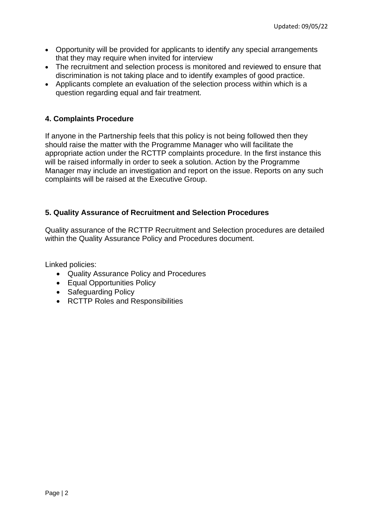- Opportunity will be provided for applicants to identify any special arrangements that they may require when invited for interview
- The recruitment and selection process is monitored and reviewed to ensure that discrimination is not taking place and to identify examples of good practice.
- Applicants complete an evaluation of the selection process within which is a question regarding equal and fair treatment.

#### **4. Complaints Procedure**

If anyone in the Partnership feels that this policy is not being followed then they should raise the matter with the Programme Manager who will facilitate the appropriate action under the RCTTP complaints procedure. In the first instance this will be raised informally in order to seek a solution. Action by the Programme Manager may include an investigation and report on the issue. Reports on any such complaints will be raised at the Executive Group.

#### **5. Quality Assurance of Recruitment and Selection Procedures**

Quality assurance of the RCTTP Recruitment and Selection procedures are detailed within the Quality Assurance Policy and Procedures document.

Linked policies:

- Quality Assurance Policy and Procedures
- Equal Opportunities Policy
- Safeguarding Policy
- RCTTP Roles and Responsibilities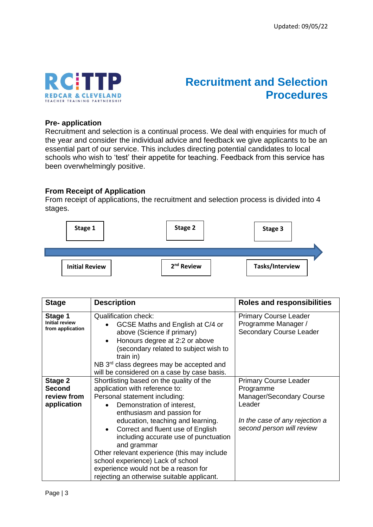

## **Recruitment and Selection Procedures**

#### **Pre- application**

Recruitment and selection is a continual process. We deal with enquiries for much of the year and consider the individual advice and feedback we give applicants to be an essential part of our service. This includes directing potential candidates to local schools who wish to 'test' their appetite for teaching. Feedback from this service has been overwhelmingly positive.

#### **From Receipt of Application**

From receipt of applications, the recruitment and selection process is divided into 4 stages.



| <b>Stage</b>                                         | <b>Description</b>                                                                                                                                                                                                                                                                                                     | <b>Roles and responsibilities</b>                                              |
|------------------------------------------------------|------------------------------------------------------------------------------------------------------------------------------------------------------------------------------------------------------------------------------------------------------------------------------------------------------------------------|--------------------------------------------------------------------------------|
| Stage 1<br><b>Initial review</b><br>from application | <b>Qualification check:</b><br>GCSE Maths and English at C/4 or<br>$\bullet$<br>above (Science if primary)<br>Honours degree at 2:2 or above<br>$\bullet$<br>(secondary related to subject wish to<br>train in)<br>NB 3 <sup>rd</sup> class degrees may be accepted and<br>will be considered on a case by case basis. | <b>Primary Course Leader</b><br>Programme Manager /<br>Secondary Course Leader |
| Stage 2<br><b>Second</b>                             | Shortlisting based on the quality of the<br>application with reference to:                                                                                                                                                                                                                                             | <b>Primary Course Leader</b><br>Programme                                      |
| review from                                          | Personal statement including:                                                                                                                                                                                                                                                                                          | <b>Manager/Secondary Course</b>                                                |
| application                                          | Demonstration of interest,<br>enthusiasm and passion for                                                                                                                                                                                                                                                               | Leader                                                                         |
|                                                      | education, teaching and learning.<br>Correct and fluent use of English<br>$\bullet$<br>including accurate use of punctuation<br>and grammar<br>Other relevant experience (this may include<br>school experience) Lack of school<br>experience would not be a reason for<br>rejecting an otherwise suitable applicant.  | In the case of any rejection a<br>second person will review                    |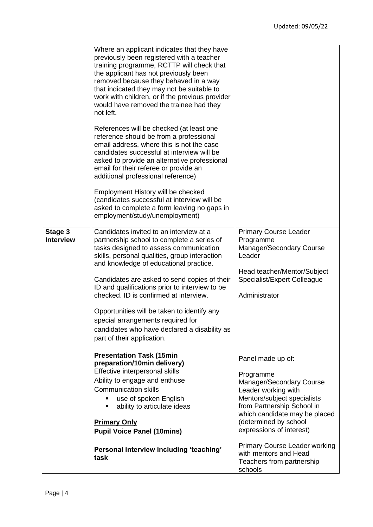|                             | Where an applicant indicates that they have<br>previously been registered with a teacher<br>training programme, RCTTP will check that<br>the applicant has not previously been<br>removed because they behaved in a way<br>that indicated they may not be suitable to<br>work with children, or if the previous provider<br>would have removed the trainee had they<br>not left.<br>References will be checked (at least one<br>reference should be from a professional<br>email address, where this is not the case<br>candidates successful at interview will be<br>asked to provide an alternative professional<br>email for their referee or provide an |                                                                                                                                                                                                                                      |
|-----------------------------|-------------------------------------------------------------------------------------------------------------------------------------------------------------------------------------------------------------------------------------------------------------------------------------------------------------------------------------------------------------------------------------------------------------------------------------------------------------------------------------------------------------------------------------------------------------------------------------------------------------------------------------------------------------|--------------------------------------------------------------------------------------------------------------------------------------------------------------------------------------------------------------------------------------|
|                             | additional professional reference)<br>Employment History will be checked<br>(candidates successful at interview will be<br>asked to complete a form leaving no gaps in<br>employment/study/unemployment)                                                                                                                                                                                                                                                                                                                                                                                                                                                    |                                                                                                                                                                                                                                      |
| Stage 3<br><b>Interview</b> | Candidates invited to an interview at a<br>partnership school to complete a series of<br>tasks designed to assess communication<br>skills, personal qualities, group interaction<br>and knowledge of educational practice.<br>Candidates are asked to send copies of their<br>ID and qualifications prior to interview to be<br>checked. ID is confirmed at interview.<br>Opportunities will be taken to identify any<br>special arrangements required for<br>candidates who have declared a disability as<br>part of their application.                                                                                                                    | <b>Primary Course Leader</b><br>Programme<br>Manager/Secondary Course<br>Leader<br>Head teacher/Mentor/Subject<br>Specialist/Expert Colleague<br>Administrator                                                                       |
|                             | <b>Presentation Task (15min</b><br>preparation/10min delivery)<br>Effective interpersonal skills<br>Ability to engage and enthuse<br><b>Communication skills</b><br>use of spoken English<br>٠<br>ability to articulate ideas<br>٠<br><b>Primary Only</b><br><b>Pupil Voice Panel (10mins)</b>                                                                                                                                                                                                                                                                                                                                                              | Panel made up of:<br>Programme<br>Manager/Secondary Course<br>Leader working with<br>Mentors/subject specialists<br>from Partnership School in<br>which candidate may be placed<br>(determined by school<br>expressions of interest) |
|                             | Personal interview including 'teaching'<br>task                                                                                                                                                                                                                                                                                                                                                                                                                                                                                                                                                                                                             | <b>Primary Course Leader working</b><br>with mentors and Head<br>Teachers from partnership<br>schools                                                                                                                                |